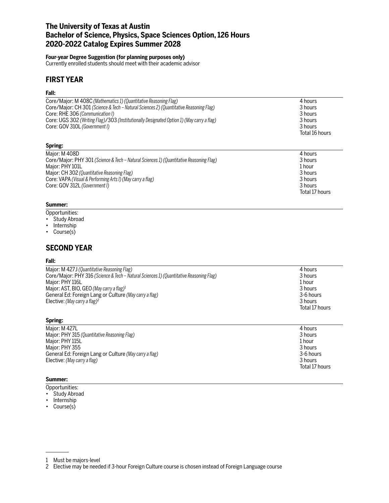# **The University of Texas at Austin Bachelor of Science, Physics, Space Sciences Option, 126 Hours 2020-2022 Catalog Expires Summer 2028**

### **Four-year Degree Suggestion (for planning purposes only)**

Currently enrolled students should meet with their academic advisor

# **FIRST YEAR**

### **Fall:**

| Core/Major: M 408C (Mathematics 1) (Quantitative Reasoning Flag)                          | 4 hours        |
|-------------------------------------------------------------------------------------------|----------------|
| Core/Major: CH 301 (Science & Tech - Natural Sciences 2) (Quantitative Reasoning Flag)    | 3 hours        |
| Core: RHE 306 (Communication I)                                                           | 3 hours        |
| Core: UGS 302 (Writing Flag)/303 (Institutionally Designated Option 1) (May carry a flag) | 3 hours        |
| Core: GOV 310L (Government I)                                                             | 3 hours        |
|                                                                                           | Total 16 hours |
| Spring:                                                                                   |                |
| Major: M 408D                                                                             | 4 hours        |
| Core/Major: PHY 301 (Science & Tech – Natural Sciences 1) (Quantitative Reasoning Flag)   | 3 hours        |
| Major: PHY 101L                                                                           | 1 hour         |
| Major: CH 302 (Quantitative Reasoning Flag)                                               | 3 hours        |
| Core: VAPA (Visual & Performing Arts I) (May carry a flag)                                | 3 hours        |
| Core: GOV 312L (Government I)                                                             | 3 hours        |
|                                                                                           | Total 17 hours |

#### **Summer:**

Opportunities:

- Study Abroad
- Internship
- Course(s)

# **SECOND YEAR**

#### **Fall:**

| Major: M 427J (Quantitative Reasoning Flag)<br>Core/Major: PHY 316 (Science & Tech – Natural Sciences 1) (Quantitative Reasoning Flag)<br>Major: PHY 116L<br>Major: AST, BIO, GEO (May carry a flag) <sup>1</sup><br>General Ed: Foreign Lang or Culture (May carry a flag)<br>Elective: (May carry a flag) <sup>2</sup> | 4 hours<br>3 hours<br>1 hour<br>3 hours<br>3-6 hours<br>3 hours<br>Total 17 hours |
|--------------------------------------------------------------------------------------------------------------------------------------------------------------------------------------------------------------------------------------------------------------------------------------------------------------------------|-----------------------------------------------------------------------------------|
| Spring:                                                                                                                                                                                                                                                                                                                  |                                                                                   |

| Maior: M 427L                                          | 4 hours        |
|--------------------------------------------------------|----------------|
| Major: PHY 315 (Quantitative Reasoning Flag)           | 3 hours        |
| Major: PHY 115L                                        | 1 hour         |
| Major: PHY 355                                         | 3 hours        |
| General Ed: Foreign Lang or Culture (May carry a flag) | 3-6 hours      |
| Elective: (May carry a flag)                           | 3 hours        |
|                                                        | Total 17 hours |

## **Summer:**

- Opportunities:
- Study Abroad
- Internship
- Course(s)

<sup>1</sup> Must be majors-level

<sup>2</sup> Elective may be needed if 3-hour Foreign Culture course is chosen instead of Foreign Language course